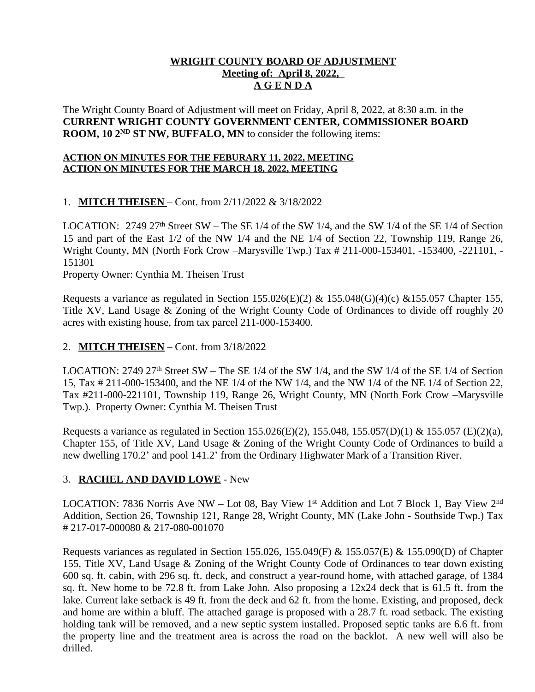# **WRIGHT COUNTY BOARD OF ADJUSTMENT Meeting of: April 8, 2022, A G E N D A**

The Wright County Board of Adjustment will meet on Friday, April 8, 2022, at 8:30 a.m. in the **CURRENT WRIGHT COUNTY GOVERNMENT CENTER, COMMISSIONER BOARD ROOM, 10 2<sup>ND</sup> ST NW, BUFFALO, MN** to consider the following items:

### **ACTION ON MINUTES FOR THE FEBURARY 11, 2022, MEETING ACTION ON MINUTES FOR THE MARCH 18, 2022, MEETING**

# 1. **MITCH THEISEN** – Cont. from 2/11/2022 & 3/18/2022

LOCATION:  $2749\,27<sup>th</sup>$  Street SW – The SE 1/4 of the SW 1/4, and the SW 1/4 of the SE 1/4 of Section 15 and part of the East 1/2 of the NW 1/4 and the NE 1/4 of Section 22, Township 119, Range 26, Wright County, MN (North Fork Crow –Marysville Twp.) Tax # 211-000-153401, -153400, -221101, - 151301

Property Owner: Cynthia M. Theisen Trust

Requests a variance as regulated in Section 155.026(E)(2) & 155.048(G)(4)(c) & 155.057 Chapter 155, Title XV, Land Usage & Zoning of the Wright County Code of Ordinances to divide off roughly 20 acres with existing house, from tax parcel 211-000-153400.

## 2. **MITCH THEISEN** – Cont. from 3/18/2022

LOCATION:  $2749\ 27$ <sup>th</sup> Street SW – The SE 1/4 of the SW 1/4, and the SW 1/4 of the SE 1/4 of Section 15, Tax # 211-000-153400, and the NE 1/4 of the NW 1/4, and the NW 1/4 of the NE 1/4 of Section 22, Tax #211-000-221101, Township 119, Range 26, Wright County, MN (North Fork Crow –Marysville Twp.). Property Owner: Cynthia M. Theisen Trust

Requests a variance as regulated in Section 155.026(E)(2), 155.048, 155.057(D)(1) & 155.057 (E)(2)(a), Chapter 155, of Title XV, Land Usage & Zoning of the Wright County Code of Ordinances to build a new dwelling 170.2' and pool 141.2' from the Ordinary Highwater Mark of a Transition River.

#### 3. **RACHEL AND DAVID LOWE** - New

LOCATION: 7836 Norris Ave NW – Lot 08, Bay View 1<sup>st</sup> Addition and Lot 7 Block 1, Bay View 2<sup>nd</sup> Addition, Section 26, Township 121, Range 28, Wright County, MN (Lake John - Southside Twp.) Tax # 217-017-000080 & 217-080-001070

Requests variances as regulated in Section 155.026, 155.049(F) & 155.057(E) & 155.090(D) of Chapter 155, Title XV, Land Usage & Zoning of the Wright County Code of Ordinances to tear down existing 600 sq. ft. cabin, with 296 sq. ft. deck, and construct a year-round home, with attached garage, of 1384 sq. ft. New home to be 72.8 ft. from Lake John. Also proposing a 12x24 deck that is 61.5 ft. from the lake. Current lake setback is 49 ft. from the deck and 62 ft. from the home. Existing, and proposed, deck and home are within a bluff. The attached garage is proposed with a 28.7 ft. road setback. The existing holding tank will be removed, and a new septic system installed. Proposed septic tanks are 6.6 ft. from the property line and the treatment area is across the road on the backlot. A new well will also be drilled.